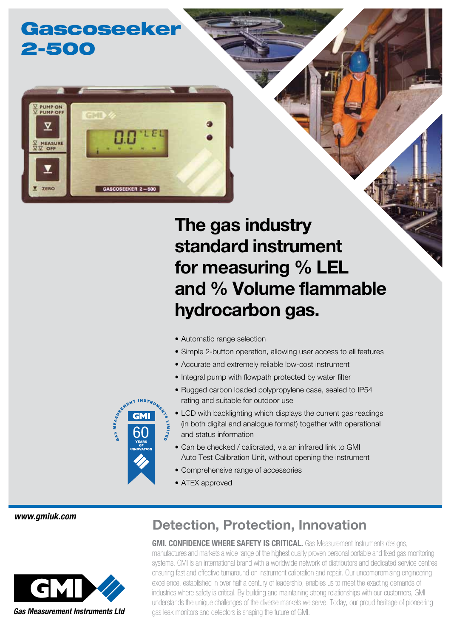## Gascoseeker 2-500



# The gas industry standard instrument for measuring % LEL and % Volume flammable hydrocarbon gas.

- Automatic range selection
- Simple 2-button operation, allowing user access to all features
- Accurate and extremely reliable low-cost instrument
- Integral pump with flowpath protected by water filter
- Rugged carbon loaded polypropylene case, sealed to IP54 rating and suitable for outdoor use
- LCD with backlighting which displays the current gas readings (in both digital and analogue format) together with operational and status information
- Can be checked / calibrated, via an infrared link to GMI Auto Test Calibration Unit, without opening the instrument
- Comprehensive range of accessories
- ATEX approved

*www.gmiuk.com*



### Detection, Protection, Innovation

**GMI. CONFIDENCE WHERE SAFETY IS CRITICAL.** Gas Measurement Instruments designs. manufactures and markets a wide range of the highest quality proven personal portable and fixed gas monitoring systems. GMI is an international brand with a worldwide network of distributors and dedicated service centres ensuring fast and effective turnaround on instrument calibration and repair. Our uncompromising engineering excellence, established in over half a century of leadership, enables us to meet the exacting demands of industries where safety is critical. By building and maintaining strong relationships with our customers, GMI understands the unique challenges of the diverse markets we serve. Today, our proud heritage of pioneering gas leak monitors and detectors is shaping the future of GMI.